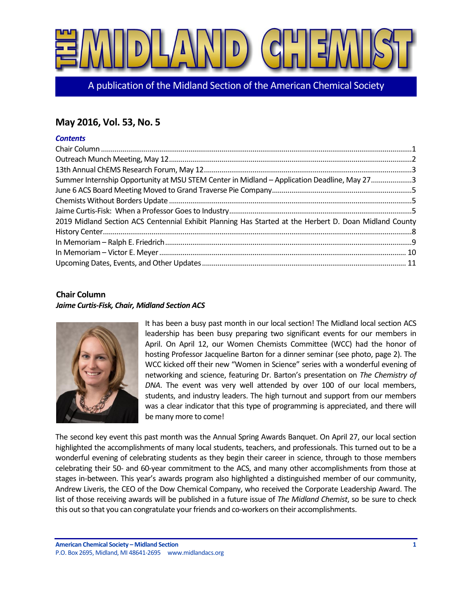

A publication of the Midland Section of the American Chemical Society

# **May 2016, Vol. 53, No. 5**

### *Contents*

| Summer Internship Opportunity at MSU STEM Center in Midland - Application Deadline, May 273            |  |
|--------------------------------------------------------------------------------------------------------|--|
|                                                                                                        |  |
|                                                                                                        |  |
|                                                                                                        |  |
| 2019 Midland Section ACS Centennial Exhibit Planning Has Started at the Herbert D. Doan Midland County |  |
|                                                                                                        |  |
|                                                                                                        |  |
|                                                                                                        |  |
|                                                                                                        |  |

# <span id="page-0-0"></span>**Chair Column** *Jaime Curtis-Fisk, Chair, Midland Section ACS*



It has been a busy past month in our local section! The Midland local section ACS leadership has been busy preparing two significant events for our members in April. On April 12, our Women Chemists Committee (WCC) had the honor of hosting Professor Jacqueline Barton for a dinner seminar (see photo, page 2). The WCC kicked off their new "Women in Science" series with a wonderful evening of networking and science, featuring Dr. Barton's presentation on *The Chemistry of DNA*. The event was very well attended by over 100 of our local members, students, and industry leaders. The high turnout and support from our members was a clear indicator that this type of programming is appreciated, and there will be many more to come!

The second key event this past month was the Annual Spring Awards Banquet. On April 27, our local section highlighted the accomplishments of many local students, teachers, and professionals. This turned out to be a wonderful evening of celebrating students as they begin their career in science, through to those members celebrating their 50- and 60-year commitment to the ACS, and many other accomplishments from those at stages in-between. This year's awards program also highlighted a distinguished member of our community, Andrew Liveris, the CEO of the Dow Chemical Company, who received the Corporate Leadership Award. The list of those receiving awards will be published in a future issue of *The Midland Chemist*, so be sure to check this out so that you can congratulate your friends and co-workers on their accomplishments.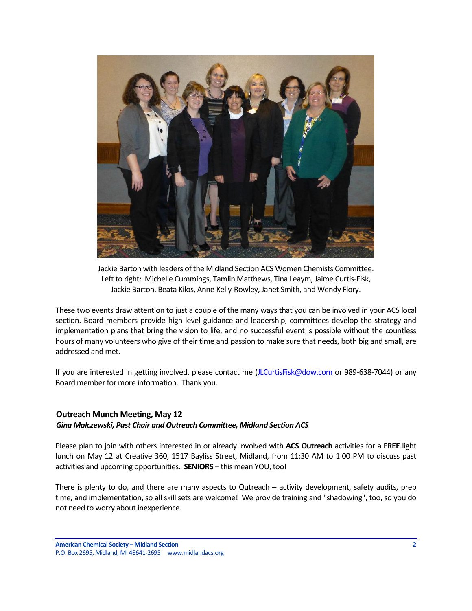

Jackie Barton with leaders of the Midland Section ACS Women Chemists Committee. Left to right: Michelle Cummings, Tamlin Matthews, Tina Leaym, Jaime Curtis-Fisk, Jackie Barton, Beata Kilos, Anne Kelly-Rowley, Janet Smith, and Wendy Flory.

These two events draw attention to just a couple of the many ways that you can be involved in your ACS local section. Board members provide high level guidance and leadership, committees develop the strategy and implementation plans that bring the vision to life, and no successful event is possible without the countless hours of many volunteers who give of their time and passion to make sure that needs, both big and small, are addressed and met.

If you are interested in getting involved, please contact me [\(JLCurtisFisk@dow.com](mailto:JLCurtisFisk@dow.com) or 989-638-7044) or any Board member for more information. Thank you.

# <span id="page-1-0"></span>**Outreach Munch Meeting, May 12**

### *Gina Malczewski, Past Chair and Outreach Committee, Midland Section ACS*

Please plan to join with others interested in or already involved with **ACS Outreach** activities for a **FREE** light lunch on May 12 at Creative 360, 1517 Bayliss Street, Midland, from 11:30 AM to 1:00 PM to discuss past activities and upcoming opportunities. **SENIORS** – this mean YOU, too!

There is plenty to do, and there are many aspects to Outreach – activity development, safety audits, prep time, and implementation, so all skill sets are welcome! We provide training and "shadowing", too, so you do not need to worry about inexperience.

**American Chemical Society – Midland Section 2** P.O. Box 2695, Midland, MI 48641-2695 www.midlandacs.org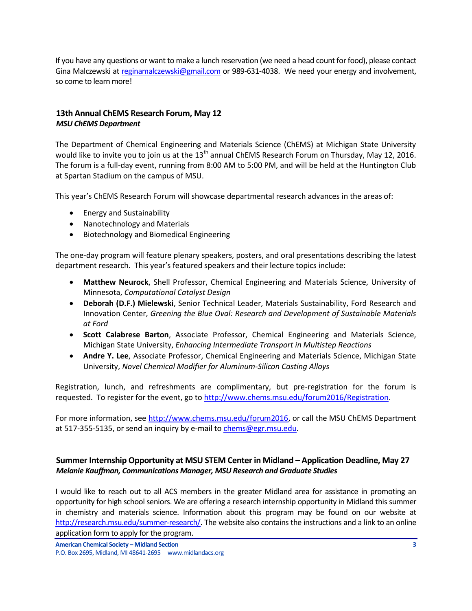If you have any questions or want to make a lunch reservation (we need a head count for food), please contact Gina Malczewski a[t reginamalczewski@gmail.com](mailto:reginamalczewski@gmail.com) or 989-631-4038. We need your energy and involvement, so come to learn more!

# <span id="page-2-0"></span>**13th Annual ChEMS Research Forum, May 12** *MSU ChEMS Department*

The Department of Chemical Engineering and Materials Science (ChEMS) at Michigan State University would like to invite you to join us at the 13<sup>th</sup> annual ChEMS Research Forum on Thursday, May 12, 2016. The forum is a full-day event, running from 8:00 AM to 5:00 PM, and will be held at the Huntington Club at Spartan Stadium on the campus of MSU.

This year's ChEMS Research Forum will showcase departmental research advances in the areas of:

- Energy and Sustainability
- Nanotechnology and Materials
- Biotechnology and Biomedical Engineering

The one-day program will feature plenary speakers, posters, and oral presentations describing the latest department research. This year's featured speakers and their lecture topics include:

- **Matthew Neurock**, Shell Professor, Chemical Engineering and Materials Science, University of Minnesota, *Computational Catalyst Design*
- **Deborah (D.F.) Mielewski**, Senior Technical Leader, Materials Sustainability, Ford Research and Innovation Center, *Greening the Blue Oval: Research and Development of Sustainable Materials at Ford*
- **Scott Calabrese Barton**, Associate Professor, Chemical Engineering and Materials Science, Michigan State University, *Enhancing Intermediate Transport in Multistep Reactions*
- **Andre Y. Lee**, Associate Professor, Chemical Engineering and Materials Science, Michigan State University, *Novel Chemical Modifier for Aluminum-Silicon Casting Alloys*

Registration, lunch, and refreshments are complimentary, but pre-registration for the forum is requested. To register for the event, go t[o http://www.chems.msu.edu/forum2016/Registration.](http://www.chems.msu.edu/forum2016/Registration)

For more information, see [http://www.chems.msu.edu/forum2016,](http://www.chems.msu.edu/forum2016) or call the MSU ChEMS Department at 517-355-5135, or send an inquiry by e-mail to [chems@egr.msu.edu.](mailto:chems@egr.msu.edu)

# <span id="page-2-1"></span>**Summer Internship Opportunity at MSU STEM Center in Midland – Application Deadline, May 27** *Melanie Kauffman, Communications Manager, MSU Research and Graduate Studies*

I would like to reach out to all ACS members in the greater Midland area for assistance in promoting an opportunity for high school seniors. We are offering a research internship opportunity in Midland this summer in chemistry and materials science. Information about this program may be found on our website at [http://research.msu.edu/summer-research/.](http://research.msu.edu/summer-research/) The website also contains the instructions and a link to an online application form to apply for the program.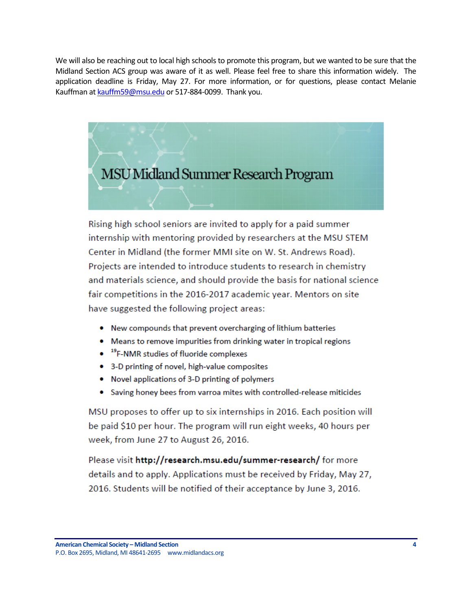We will also be reaching out to local high schools to promote this program, but we wanted to be sure that the Midland Section ACS group was aware of it as well. Please feel free to share this information widely. The application deadline is Friday, May 27. For more information, or for questions, please contact Melanie Kauffman a[t kauffm59@msu.edu](mailto:kauffm59@msu.edu) or 517-884-0099. Thank you.



Rising high school seniors are invited to apply for a paid summer internship with mentoring provided by researchers at the MSU STEM Center in Midland (the former MMI site on W. St. Andrews Road). Projects are intended to introduce students to research in chemistry and materials science, and should provide the basis for national science fair competitions in the 2016-2017 academic year. Mentors on site have suggested the following project areas:

- New compounds that prevent overcharging of lithium batteries
- Means to remove impurities from drinking water in tropical regions
- <sup>19</sup>F-NMR studies of fluoride complexes
- 3-D printing of novel, high-value composites
- Novel applications of 3-D printing of polymers
- Saving honey bees from varroa mites with controlled-release miticides

MSU proposes to offer up to six internships in 2016. Each position will be paid \$10 per hour. The program will run eight weeks, 40 hours per week, from June 27 to August 26, 2016.

Please visit http://research.msu.edu/summer-research/ for more details and to apply. Applications must be received by Friday, May 27, 2016. Students will be notified of their acceptance by June 3, 2016.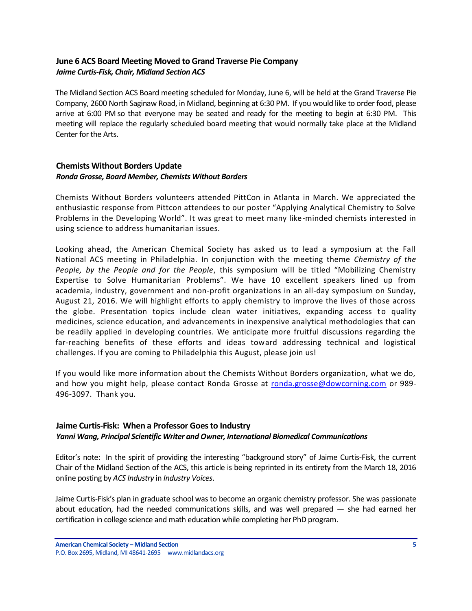# <span id="page-4-0"></span>**June 6 ACS Board Meeting Moved to Grand Traverse Pie Company** *Jaime Curtis-Fisk, Chair, Midland Section ACS*

The Midland Section ACS Board meeting scheduled for Monday, June 6, will be held at the Grand Traverse Pie Company, 2600 North Saginaw Road, in Midland, beginning at 6:30 PM. If you would like to order food, please arrive at 6:00 PM so that everyone may be seated and ready for the meeting to begin at 6:30 PM. This meeting will replace the regularly scheduled board meeting that would normally take place at the Midland Center for the Arts.

## <span id="page-4-1"></span>**Chemists Without Borders Update** *Ronda Grosse, Board Member, Chemists Without Borders*

Chemists Without Borders volunteers attended PittCon in Atlanta in March. We appreciated the enthusiastic response from Pittcon attendees to our poster "Applying Analytical Chemistry to Solve Problems in the Developing World". It was great to meet many like-minded chemists interested in using science to address humanitarian issues.

Looking ahead, the American Chemical Society has asked us to lead a symposium at the Fall National ACS meeting in Philadelphia. In conjunction with the meeting theme *Chemistry of the People, by the People and for the People*, this symposium will be titled "Mobilizing Chemistry Expertise to Solve Humanitarian Problems". We have 10 excellent speakers lined up from academia, industry, government and non-profit organizations in an all-day symposium on Sunday, August 21, 2016. We will highlight efforts to apply chemistry to improve the lives of those across the globe. Presentation topics include clean water initiatives, expanding access to quality medicines, science education, and advancements in inexpensive analytical methodologies that can be readily applied in developing countries. We anticipate more fruitful discussions regarding the far-reaching benefits of these efforts and ideas toward addressing technical and logistical challenges. If you are coming to Philadelphia this August, please join us!

If you would like more information about the Chemists Without Borders organization, what we do, and how you might help, please contact Ronda Grosse at [ronda.grosse@dowcorning.com](mailto:ronda.grosse@dowcorning.com) or 989-496-3097. Thank you.

# <span id="page-4-2"></span>**Jaime Curtis-Fisk: When a Professor Goes to Industry**

### *Yanni Wang, Principal Scientific Writer and Owner, International Biomedical Communications*

Editor's note: In the spirit of providing the interesting "background story" of Jaime Curtis-Fisk, the current Chair of the Midland Section of the ACS, this article is being reprinted in its entirety from the March 18, 2016 online posting by *ACS Industry* in *Industry Voices*.

Jaime Curtis-Fisk's plan in graduate school was to become an organic chemistry professor. She was passionate about education, had the needed communications skills, and was well prepared — she had earned her certification in college science and math education while completing her PhD program.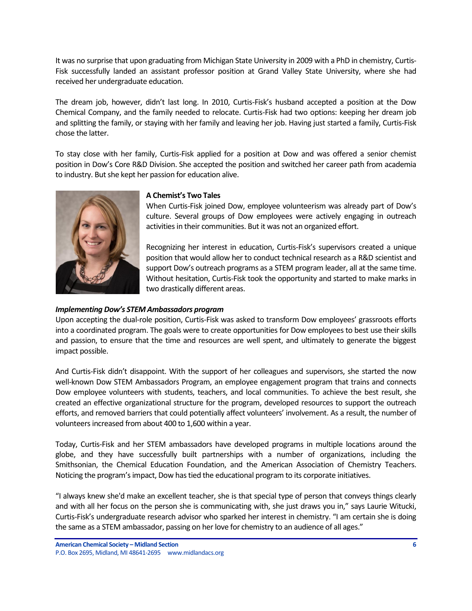It was no surprise that upon graduating from Michigan State University in 2009 with a PhD in chemistry, Curtis-Fisk successfully landed an assistant professor position at Grand Valley State University, where she had received her undergraduate education.

The dream job, however, didn't last long. In 2010, Curtis-Fisk's husband accepted a position at the Dow Chemical Company, and the family needed to relocate. Curtis-Fisk had two options: keeping her dream job and splitting the family, or staying with her family and leaving her job. Having just started a family, Curtis-Fisk chose the latter.

To stay close with her family, Curtis-Fisk applied for a position at Dow and was offered a senior chemist position in Dow's Core R&D Division. She accepted the position and switched her career path from academia to industry. But she kept her passion for education alive.



#### **A Chemist's Two Tales**

When Curtis-Fisk joined Dow, employee volunteerism was already part of Dow's culture. Several groups of Dow employees were actively engaging in outreach activities in their communities. But it was not an organized effort.

Recognizing her interest in education, Curtis-Fisk's supervisors created a unique position that would allow her to conduct technical research as a R&D scientist and support Dow's outreach programs as a STEM program leader, all at the same time. Without hesitation, Curtis-Fisk took the opportunity and started to make marks in two drastically different areas.

#### *Implementing Dow's STEM Ambassadors program*

Upon accepting the dual-role position, Curtis-Fisk was asked to transform Dow employees' grassroots efforts into a coordinated program. The goals were to create opportunities for Dow employees to best use their skills and passion, to ensure that the time and resources are well spent, and ultimately to generate the biggest impact possible.

And Curtis-Fisk didn't disappoint. With the support of her colleagues and supervisors, she started the now well-known Dow STEM Ambassadors Program, an employee engagement program that trains and connects Dow employee volunteers with students, teachers, and local communities. To achieve the best result, she created an effective organizational structure for the program, developed resources to support the outreach efforts, and removed barriers that could potentially affect volunteers' involvement. As a result, the number of volunteers increased from about 400 to 1,600 within a year.

Today, Curtis-Fisk and her STEM ambassadors have developed programs in multiple locations around the globe, and they have successfully built partnerships with a number of organizations, including the Smithsonian, the Chemical Education Foundation, and the American Association of Chemistry Teachers. Noticing the program's impact, Dow has tied the educational program to its corporate initiatives.

"I always knew she'd make an excellent teacher, she is that special type of person that conveys things clearly and with all her focus on the person she is communicating with, she just draws you in," says Laurie Witucki, Curtis-Fisk's undergraduate research advisor who sparked her interest in chemistry. "I am certain she is doing the same as a STEM ambassador, passing on her love for chemistry to an audience of all ages."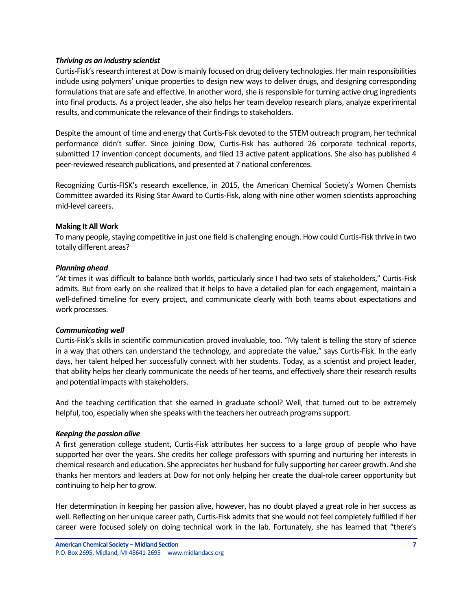#### *Thriving as an industry scientist*

Curtis-Fisk's research interest at Dow is mainly focused on drug delivery technologies. Her main responsibilities include using polymers' unique properties to design new ways to deliver drugs, and designing corresponding formulations that are safe and effective. In another word, she is responsible for turning active drug ingredients into final products. As a project leader, she also helps her team develop research plans, analyze experimental results, and communicate the relevance of their findings to stakeholders.

Despite the amount of time and energy that Curtis-Fisk devoted to the STEM outreach program, her technical performance didn't suffer. Since joining Dow, Curtis-Fisk has authored 26 corporate technical reports, submitted 17 invention concept documents, and filed 13 active patent applications. She also has published 4 peer-reviewed research publications, and presented at 7 national conferences.

Recognizing Curtis-FISK's research excellence, in 2015, the American Chemical Society's Women Chemists Committee awarded its Rising Star Award to Curtis-Fisk, along with nine other women scientists approaching mid-level careers.

#### **Making It All Work**

To many people, staying competitive in just one field is challenging enough. How could Curtis-Fisk thrive in two totally different areas?

#### *Planning ahead*

"At times it was difficult to balance both worlds, particularly since I had two sets of stakeholders," Curtis-Fisk admits. But from early on she realized that it helps to have a detailed plan for each engagement, maintain a well-defined timeline for every project, and communicate clearly with both teams about expectations and work processes.

#### *Communicating well*

Curtis-Fisk's skills in scientific communication proved invaluable, too. "My talent is telling the story of science in a way that others can understand the technology, and appreciate the value," says Curtis-Fisk. In the early days, her talent helped her successfully connect with her students. Today, as a scientist and project leader, that ability helps her clearly communicate the needs of her teams, and effectively share their research results and potential impacts with stakeholders.

And the teaching certification that she earned in graduate school? Well, that turned out to be extremely helpful, too, especially when she speaks with the teachers her outreach programs support.

#### *Keeping the passion alive*

A first generation college student, Curtis-Fisk attributes her success to a large group of people who have supported her over the years. She credits her college professors with spurring and nurturing her interests in chemical research and education. She appreciates her husband for fully supporting her career growth. And she thanks her mentors and leaders at Dow for not only helping her create the dual-role career opportunity but continuing to help her to grow.

Her determination in keeping her passion alive, however, has no doubt played a great role in her success as well. Reflecting on her unique career path, Curtis-Fisk admits that she would not feel completely fulfilled if her career were focused solely on doing technical work in the lab. Fortunately, she has learned that "there's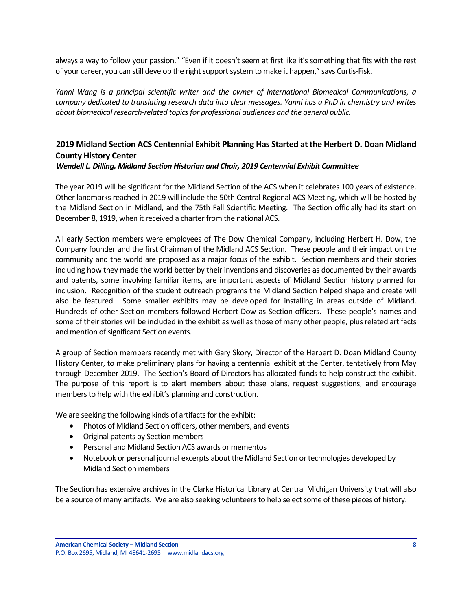always a way to follow your passion." "Even if it doesn't seem at first like it's something that fits with the rest of your career, you can still develop the right support system to make it happen," says Curtis-Fisk.

*Yanni Wang is a principal scientific writer and the owner of International Biomedical Communications, a company dedicated to translating research data into clear messages. Yanni has a PhD in chemistry and writes about biomedical research-related topics for professional audiences and the general public.*

# <span id="page-7-0"></span>**2019 Midland Section ACS Centennial Exhibit Planning Has Started at the Herbert D. Doan Midland County History Center**

*Wendell L. Dilling, Midland Section Historian and Chair, 2019 Centennial Exhibit Committee*

The year 2019 will be significant for the Midland Section of the ACS when it celebrates 100 years of existence. Other landmarks reached in 2019 will include the 50th Central Regional ACS Meeting, which will be hosted by the Midland Section in Midland, and the 75th Fall Scientific Meeting. The Section officially had its start on December 8, 1919, when it received a charter from the national ACS.

All early Section members were employees of The Dow Chemical Company, including Herbert H. Dow, the Company founder and the first Chairman of the Midland ACS Section. These people and their impact on the community and the world are proposed as a major focus of the exhibit. Section members and their stories including how they made the world better by their inventions and discoveries as documented by their awards and patents, some involving familiar items, are important aspects of Midland Section history planned for inclusion. Recognition of the student outreach programs the Midland Section helped shape and create will also be featured. Some smaller exhibits may be developed for installing in areas outside of Midland. Hundreds of other Section members followed Herbert Dow as Section officers. These people's names and some of their stories will be included in the exhibit as well as those of many other people, plus related artifacts and mention of significant Section events.

A group of Section members recently met with Gary Skory, Director of the Herbert D. Doan Midland County History Center, to make preliminary plans for having a centennial exhibit at the Center, tentatively from May through December 2019. The Section's Board of Directors has allocated funds to help construct the exhibit. The purpose of this report is to alert members about these plans, request suggestions, and encourage members to help with the exhibit's planning and construction.

We are seeking the following kinds of artifacts for the exhibit:

- Photos of Midland Section officers, other members, and events
- Original patents by Section members
- Personal and Midland Section ACS awards or mementos
- Notebook or personal journal excerpts about the Midland Section or technologies developed by Midland Section members

The Section has extensive archives in the Clarke Historical Library at Central Michigan University that will also be a source of many artifacts. We are also seeking volunteers to help select some of these pieces of history.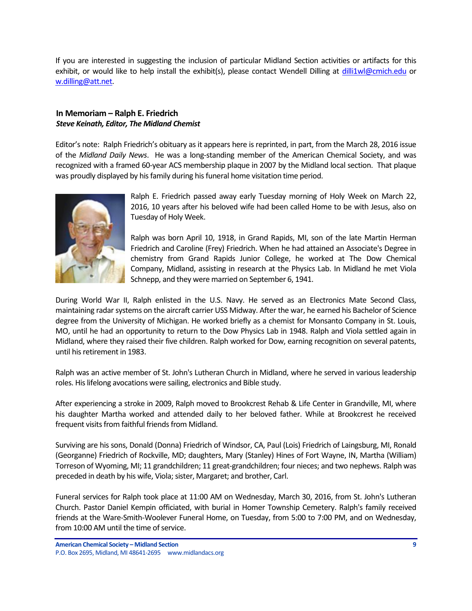If you are interested in suggesting the inclusion of particular Midland Section activities or artifacts for this exhibit, or would like to help install the exhibit(s), please contact Wendell Dilling at [dilli1wl@cmich.edu](mailto:dilli1wl@cmich.edu) or [w.dilling@att.net.](mailto:w.dilling@att.net)

### <span id="page-8-0"></span>**In Memoriam – Ralph E. Friedrich** *Steve Keinath, Editor, The Midland Chemist*

Editor's note: Ralph Friedrich's obituary as it appears here is reprinted, in part, from the March 28, 2016 issue of the *Midland Daily News*. He was a long-standing member of the American Chemical Society, and was recognized with a framed 60-year ACS membership plaque in 2007 by the Midland local section. That plaque was proudly displayed by his family during his funeral home visitation time period.



Ralph E. Friedrich passed away early Tuesday morning of Holy Week on March 22, 2016, 10 years after his beloved wife had been called Home to be with Jesus, also on Tuesday of Holy Week.

Ralph was born April 10, 1918, in Grand Rapids, MI, son of the late Martin Herman Friedrich and Caroline (Frey) Friedrich. When he had attained an Associate's Degree in chemistry from Grand Rapids Junior College, he worked at The Dow Chemical Company, Midland, assisting in research at the Physics Lab. In Midland he met Viola Schnepp, and they were married on September 6, 1941.

During World War II, Ralph enlisted in the U.S. Navy. He served as an Electronics Mate Second Class, maintaining radar systems on the aircraft carrier USS Midway. After the war, he earned his Bachelor of Science degree from the University of Michigan. He worked briefly as a chemist for Monsanto Company in St. Louis, MO, until he had an opportunity to return to the Dow Physics Lab in 1948. Ralph and Viola settled again in Midland, where they raised their five children. Ralph worked for Dow, earning recognition on several patents, until his retirement in 1983.

Ralph was an active member of St. John's Lutheran Church in Midland, where he served in various leadership roles. His lifelong avocations were sailing, electronics and Bible study.

After experiencing a stroke in 2009, Ralph moved to Brookcrest Rehab & Life Center in Grandville, MI, where his daughter Martha worked and attended daily to her beloved father. While at Brookcrest he received frequent visits from faithful friends from Midland.

Surviving are his sons, Donald (Donna) Friedrich of Windsor, CA, Paul (Lois) Friedrich of Laingsburg, MI, Ronald (Georganne) Friedrich of Rockville, MD; daughters, Mary (Stanley) Hines of Fort Wayne, IN, Martha (William) Torreson of Wyoming, MI; 11 grandchildren; 11 great-grandchildren; four nieces; and two nephews. Ralph was preceded in death by his wife, Viola; sister, Margaret; and brother, Carl.

Funeral services for Ralph took place at 11:00 AM on Wednesday, March 30, 2016, from St. John's Lutheran Church. Pastor Daniel Kempin officiated, with burial in Homer Township Cemetery. Ralph's family received friends at the Ware-Smith-Woolever Funeral Home, on Tuesday, from 5:00 to 7:00 PM, and on Wednesday, from 10:00 AM until the time of service.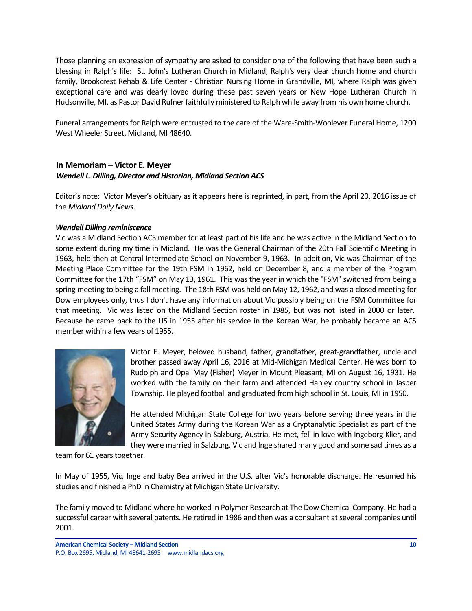Those planning an expression of sympathy are asked to consider one of the following that have been such a blessing in Ralph's life: St. John's Lutheran Church in Midland, Ralph's very dear church home and church family, Brookcrest Rehab & Life Center - Christian Nursing Home in Grandville, MI, where Ralph was given exceptional care and was dearly loved during these past seven years or New Hope Lutheran Church in Hudsonville, MI, as Pastor David Rufner faithfully ministered to Ralph while away from his own home church.

Funeral arrangements for Ralph were entrusted to the care of the Ware-Smith-Woolever Funeral Home, 1200 West Wheeler Street, Midland, MI 48640.

## <span id="page-9-0"></span>**In Memoriam – Victor E. Meyer** *Wendell L. Dilling, Director and Historian, Midland Section ACS*

Editor's note: Victor Meyer's obituary as it appears here is reprinted, in part, from the April 20, 2016 issue of the *Midland Daily News*.

### *Wendell Dilling reminiscence*

Vic was a Midland Section ACS member for at least part of his life and he was active in the Midland Section to some extent during my time in Midland. He was the General Chairman of the 20th Fall Scientific Meeting in 1963, held then at Central Intermediate School on November 9, 1963. In addition, Vic was Chairman of the Meeting Place Committee for the 19th FSM in 1962, held on December 8, and a member of the Program Committee for the 17th "FSM" on May 13, 1961. This was the year in which the "FSM" switched from being a spring meeting to being a fall meeting. The 18th FSM was held on May 12, 1962, and was a closed meeting for Dow employees only, thus I don't have any information about Vic possibly being on the FSM Committee for that meeting. Vic was listed on the Midland Section roster in 1985, but was not listed in 2000 or later. Because he came back to the US in 1955 after his service in the Korean War, he probably became an ACS member within a few years of 1955.



Victor E. Meyer, beloved husband, father, grandfather, great-grandfather, uncle and brother passed away April 16, 2016 at Mid-Michigan Medical Center. He was born to Rudolph and Opal May (Fisher) Meyer in Mount Pleasant, MI on August 16, 1931. He worked with the family on their farm and attended Hanley country school in Jasper Township. He played football and graduated from high school in St. Louis, MI in 1950.

He attended Michigan State College for two years before serving three years in the United States Army during the Korean War as a Cryptanalytic Specialist as part of the Army Security Agency in Salzburg, Austria. He met, fell in love with Ingeborg Klier, and they were married in Salzburg. Vic and Inge shared many good and some sad times as a

team for 61 years together.

In May of 1955, Vic, Inge and baby Bea arrived in the U.S. after Vic's honorable discharge. He resumed his studies and finished a PhD in Chemistry at Michigan State University.

The family moved to Midland where he worked in Polymer Research at The Dow Chemical Company. He had a successful career with several patents. He retired in 1986 and then was a consultant at several companies until 2001.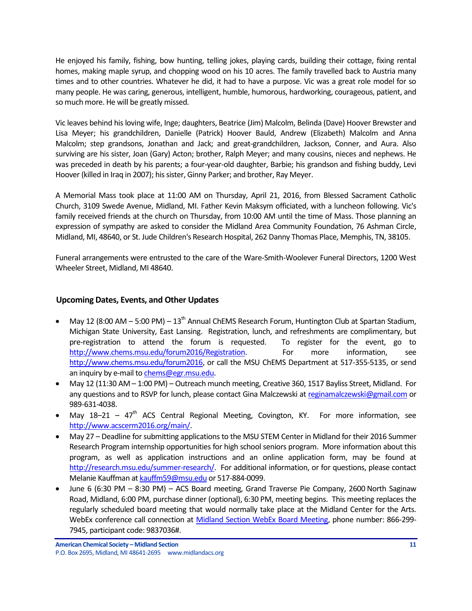He enjoyed his family, fishing, bow hunting, telling jokes, playing cards, building their cottage, fixing rental homes, making maple syrup, and chopping wood on his 10 acres. The family travelled back to Austria many times and to other countries. Whatever he did, it had to have a purpose. Vic was a great role model for so many people. He was caring, generous, intelligent, humble, humorous, hardworking, courageous, patient, and so much more. He will be greatly missed.

Vic leaves behind his loving wife, Inge; daughters, Beatrice (Jim) Malcolm, Belinda (Dave) Hoover Brewster and Lisa Meyer; his grandchildren, Danielle (Patrick) Hoover Bauld, Andrew (Elizabeth) Malcolm and Anna Malcolm; step grandsons, Jonathan and Jack; and great-grandchildren, Jackson, Conner, and Aura. Also surviving are his sister, Joan (Gary) Acton; brother, Ralph Meyer; and many cousins, nieces and nephews. He was preceded in death by his parents; a four-year-old daughter, Barbie; his grandson and fishing buddy, Levi Hoover (killed in Iraq in 2007); his sister, Ginny Parker; and brother, Ray Meyer.

A Memorial Mass took place at 11:00 AM on Thursday, April 21, 2016, from Blessed Sacrament Catholic Church, 3109 Swede Avenue, Midland, MI. Father Kevin Maksym officiated, with a luncheon following. Vic's family received friends at the church on Thursday, from 10:00 AM until the time of Mass. Those planning an expression of sympathy are asked to consider the Midland Area Community Foundation, 76 Ashman Circle, Midland, MI, 48640, or St. Jude Children's Research Hospital, 262 Danny Thomas Place, Memphis, TN, 38105.

Funeral arrangements were entrusted to the care of the Ware-Smith-Woolever Funeral Directors, 1200 West Wheeler Street, Midland, MI 48640.

### <span id="page-10-0"></span>**Upcoming Dates, Events, and Other Updates**

- May 12 (8:00 AM 5:00 PM)  $13<sup>th</sup>$  Annual ChEMS Research Forum, Huntington Club at Spartan Stadium, Michigan State University, East Lansing. Registration, lunch, and refreshments are complimentary, but pre-registration to attend the forum is requested. To register for the event, go to [http://www.chems.msu.edu/forum2016/Registration.](http://www.chems.msu.edu/forum2016/Registration) For more information, see [http://www.chems.msu.edu/forum2016,](http://www.chems.msu.edu/forum2016) or call the MSU ChEMS Department at 517-355-5135, or send an inquiry by e-mail t[o chems@egr.msu.edu.](mailto:chems@egr.msu.edu)
- May 12 (11:30 AM 1:00 PM) Outreach munch meeting, Creative 360, 1517 Bayliss Street, Midland. For any questions and to RSVP for lunch, please contact Gina Malczewski a[t reginamalczewski@gmail.com](mailto:reginamalczewski@gmail.com) or 989-631-4038.
- May  $18-21 47$ <sup>th</sup> ACS Central Regional Meeting, Covington, KY. For more information, see [http://www.acscerm2016.org/main/.](http://www.acscerm2016.org/main/)
- May 27 Deadline for submitting applications to the MSU STEM Center in Midland for their 2016 Summer Research Program internship opportunities for high school seniors program. More information about this program, as well as application instructions and an online application form, may be found at [http://research.msu.edu/summer-research/.](http://research.msu.edu/summer-research/) For additional information, or for questions, please contact Melanie Kauffman a[t kauffm59@msu.edu](mailto:kauffm59@msu.edu) or 517-884-0099.
- June 6 (6:30 PM 8:30 PM) ACS Board meeting, Grand Traverse Pie Company, 2600 North Saginaw Road, Midland, 6:00 PM, purchase dinner (optional), 6:30 PM, meeting begins. This meeting replaces the regularly scheduled board meeting that would normally take place at the Midland Center for the Arts. WebEx conference call connection at [Midland Section WebEx Board Meeting,](https://meetings.webex.com/collabs/meetings/join?uuid=MDUIF3K1F2PHUAY4ZKRYDP7EXH-MIS) phone number: 866-299- 7945, participant code: 9837036#.